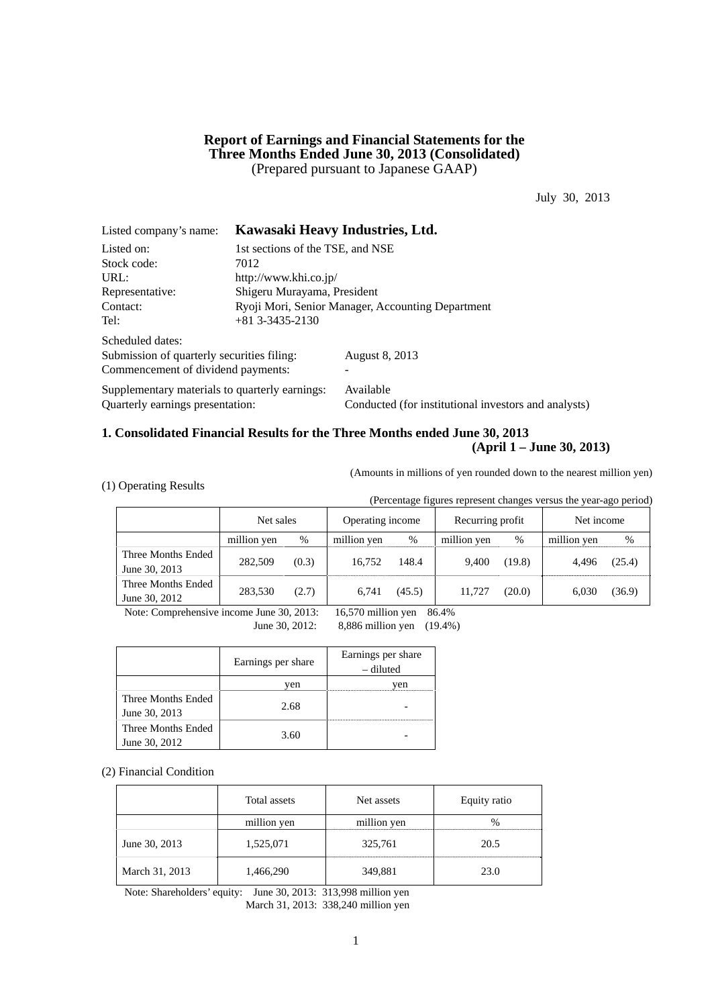## **Report of Earnings and Financial Statements for the Three Months Ended June 30, 2013 (Consolidated)**  (Prepared pursuant to Japanese GAAP)

July 30, 2013

| Listed company's name:                         | Kawasaki Heavy Industries, Ltd.                   |                                                      |  |  |  |
|------------------------------------------------|---------------------------------------------------|------------------------------------------------------|--|--|--|
| Listed on:                                     | 1st sections of the TSE, and NSE                  |                                                      |  |  |  |
| Stock code:                                    | 7012                                              |                                                      |  |  |  |
| URL:                                           | http://www.khi.co.jp/                             |                                                      |  |  |  |
| Representative:                                | Shigeru Murayama, President                       |                                                      |  |  |  |
| Contact:                                       | Ryoji Mori, Senior Manager, Accounting Department |                                                      |  |  |  |
| Tel:                                           | $+81$ 3-3435-2130                                 |                                                      |  |  |  |
| Scheduled dates:                               |                                                   |                                                      |  |  |  |
| Submission of quarterly securities filing:     |                                                   | August 8, 2013                                       |  |  |  |
| Commencement of dividend payments:             |                                                   |                                                      |  |  |  |
| Supplementary materials to quarterly earnings: |                                                   | Available                                            |  |  |  |
| Ouarterly earnings presentation:               |                                                   | Conducted (for institutional investors and analysts) |  |  |  |

## **1. Consolidated Financial Results for the Three Months ended June 30, 2013 (April 1 – June 30, 2013)**

(Amounts in millions of yen rounded down to the nearest million yen)

(1) Operating Results

(Percentage figures represent changes versus the year-ago period)

|                                           | Net sales   |       | Operating income   |        | Recurring profit |        | Net income  |        |
|-------------------------------------------|-------------|-------|--------------------|--------|------------------|--------|-------------|--------|
|                                           | million yen | %     | million yen        | $\%$   | million yen      | %      | million yen | %      |
| Three Months Ended<br>June 30, 2013       | 282,509     | (0.3) | 16.752             | 148.4  | 9.400            | (19.8) | 4.496       | (25.4) |
| Three Months Ended<br>June 30, 2012       | 283,530     | (2.7) | 6.741              | (45.5) | 11.727           | (20.0) | 6.030       | (36.9) |
| Note: Comprehensive income June 30, 2013: |             |       | 16,570 million yen |        | 86.4%            |        |             |        |

June 30, 2012: 8,886 million yen (19.4%)

|                                     | Earnings per share | Earnings per share<br>– diluted |
|-------------------------------------|--------------------|---------------------------------|
|                                     | yen                | ven                             |
| Three Months Ended<br>June 30, 2013 | 2.68               |                                 |
| Three Months Ended<br>June 30, 2012 | 3.60               |                                 |

(2) Financial Condition

|                | Total assets | Net assets  |      |
|----------------|--------------|-------------|------|
|                | million yen  | million yen |      |
| June 30, 2013  | 1,525,071    | 325,761     | 20.5 |
| March 31, 2013 | 1,466,290    | 349,881     | 23.0 |

Note: Shareholders' equity: June 30, 2013: 313,998 million yen March 31, 2013: 338,240 million yen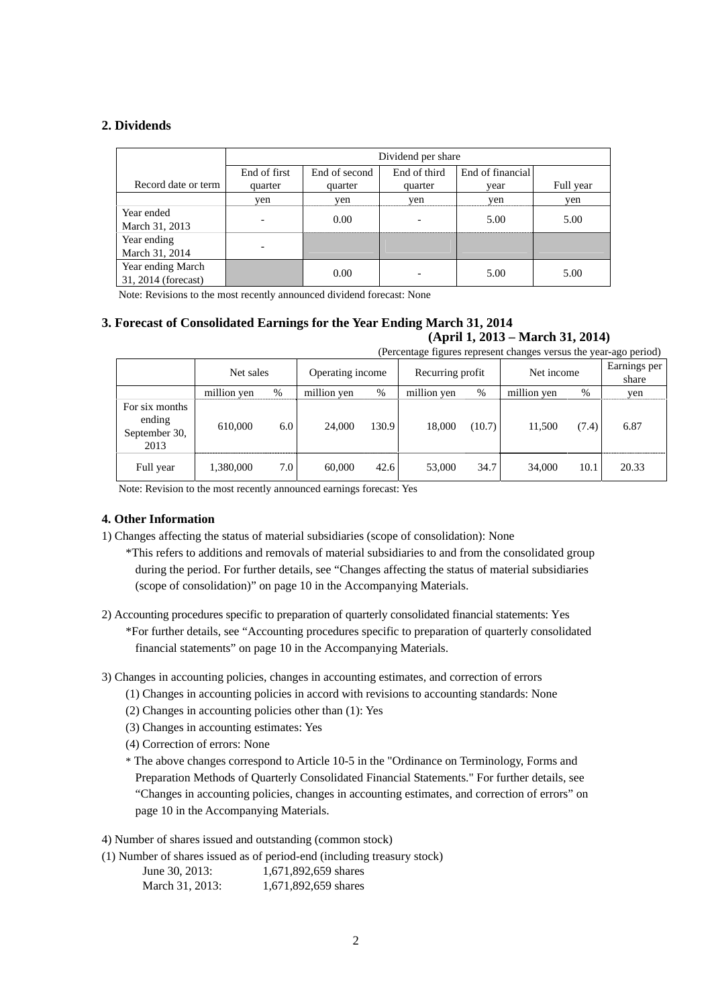## **2. Dividends**

|                                          | Dividend per share       |               |              |                  |           |  |
|------------------------------------------|--------------------------|---------------|--------------|------------------|-----------|--|
|                                          | End of first             | End of second | End of third | End of financial |           |  |
| Record date or term                      | quarter                  | quarter       | quarter      | vear             | Full year |  |
|                                          | yen                      | yen           | yen          | yen              | yen       |  |
| Year ended<br>March 31, 2013             | $\overline{\phantom{0}}$ | 0.00          |              | 5.00             | 5.00      |  |
| Year ending<br>March 31, 2014            | $\overline{\phantom{0}}$ |               |              |                  |           |  |
| Year ending March<br>31, 2014 (forecast) |                          | 0.00          |              | 5.00             | 5.00      |  |

Note: Revisions to the most recently announced dividend forecast: None

# **3. Forecast of Consolidated Earnings for the Year Ending March 31, 2014**

# **(April 1, 2013 – March 31, 2014)**

| (Percentage figures represent changes versus the year-ago period) |             |      |                  |       |                  |        |             |       |                       |
|-------------------------------------------------------------------|-------------|------|------------------|-------|------------------|--------|-------------|-------|-----------------------|
|                                                                   | Net sales   |      | Operating income |       | Recurring profit |        | Net income  |       | Earnings per<br>share |
|                                                                   | million yen | $\%$ | million yen      | %     | million yen      | %      | million yen | %     | yen                   |
| For six months<br>ending<br>September 30,<br>2013                 | 610,000     | 6.0  | 24,000           | 130.9 | 18,000           | (10.7) | 11.500      | (7.4) | 6.87                  |
| Full year                                                         | 1,380,000   | 7.0  | 60,000           | 42.6  | 53,000           | 34.7   | 34,000      | 10.1  | 20.33                 |

Note: Revision to the most recently announced earnings forecast: Yes

## **4. Other Information**

1) Changes affecting the status of material subsidiaries (scope of consolidation): None

\*This refers to additions and removals of material subsidiaries to and from the consolidated group during the period. For further details, see "Changes affecting the status of material subsidiaries (scope of consolidation)" on page 10 in the Accompanying Materials.

2) Accounting procedures specific to preparation of quarterly consolidated financial statements: Yes \*For further details, see "Accounting procedures specific to preparation of quarterly consolidated financial statements" on page 10 in the Accompanying Materials.

3) Changes in accounting policies, changes in accounting estimates, and correction of errors

- (1) Changes in accounting policies in accord with revisions to accounting standards: None
- (2) Changes in accounting policies other than (1): Yes
- (3) Changes in accounting estimates: Yes
- (4) Correction of errors: None
- \* The above changes correspond to Article 10-5 in the "Ordinance on Terminology, Forms and Preparation Methods of Quarterly Consolidated Financial Statements." For further details, see "Changes in accounting policies, changes in accounting estimates, and correction of errors" on page 10 in the Accompanying Materials.

4) Number of shares issued and outstanding (common stock)

(1) Number of shares issued as of period-end (including treasury stock)

| June 30, 2013:  | 1,671,892,659 shares |
|-----------------|----------------------|
| March 31, 2013: | 1,671,892,659 shares |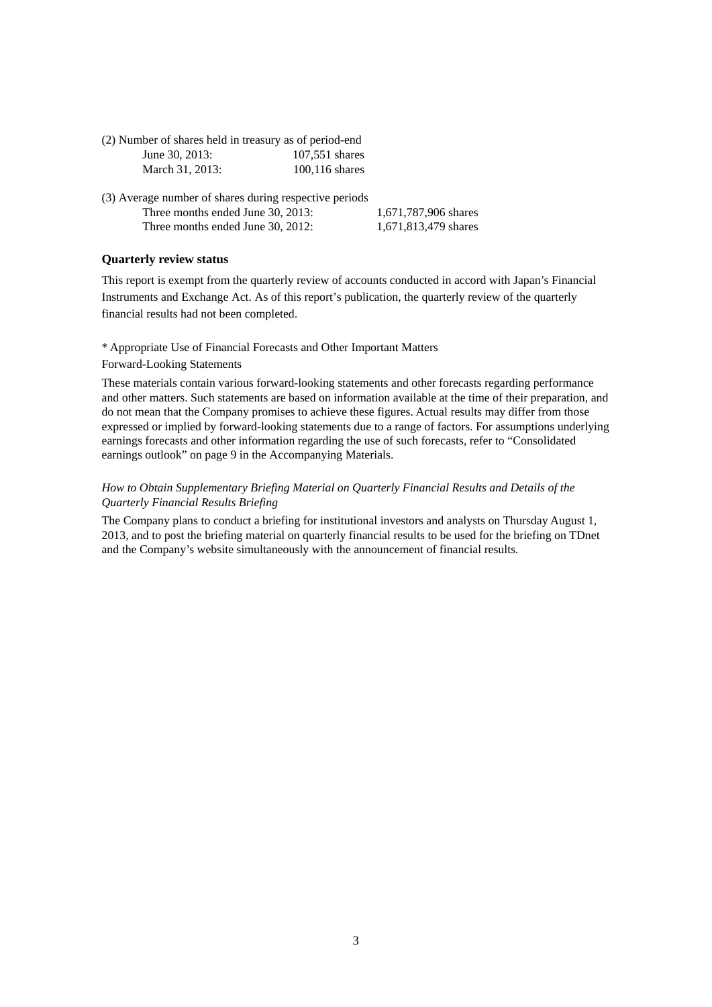| (2) Number of shares held in treasury as of period-end |                   |
|--------------------------------------------------------|-------------------|
| June 30, 2013:                                         | 107.551 shares    |
| March 31, 2013:                                        | $100, 116$ shares |

| (3) Average number of shares during respective periods |                      |
|--------------------------------------------------------|----------------------|
| Three months ended June 30, 2013:                      | 1,671,787,906 shares |
| Three months ended June 30, 2012:                      | 1,671,813,479 shares |

### **Quarterly review status**

This report is exempt from the quarterly review of accounts conducted in accord with Japan's Financial Instruments and Exchange Act. As of this report's publication, the quarterly review of the quarterly financial results had not been completed.

### \* Appropriate Use of Financial Forecasts and Other Important Matters

#### Forward-Looking Statements

These materials contain various forward-looking statements and other forecasts regarding performance and other matters. Such statements are based on information available at the time of their preparation, and do not mean that the Company promises to achieve these figures. Actual results may differ from those expressed or implied by forward-looking statements due to a range of factors. For assumptions underlying earnings forecasts and other information regarding the use of such forecasts, refer to "Consolidated earnings outlook" on page 9 in the Accompanying Materials.

#### *How to Obtain Supplementary Briefing Material on Quarterly Financial Results and Details of the Quarterly Financial Results Briefing*

The Company plans to conduct a briefing for institutional investors and analysts on Thursday August 1, 2013, and to post the briefing material on quarterly financial results to be used for the briefing on TDnet and the Company's website simultaneously with the announcement of financial results.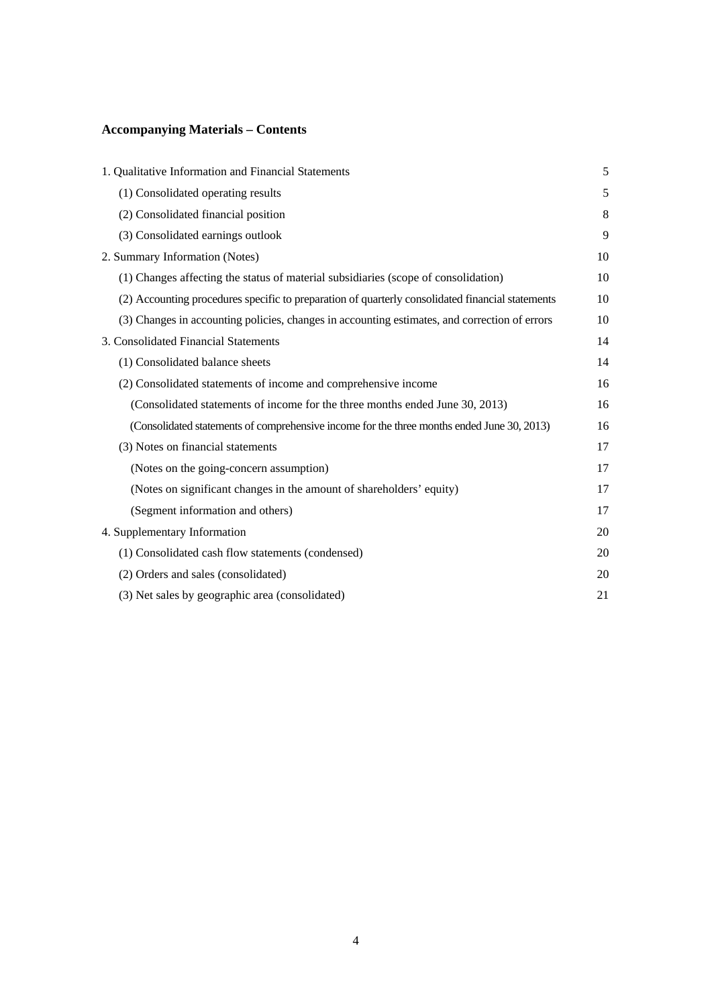# **Accompanying Materials – Contents**

| 1. Qualitative Information and Financial Statements                                              | 5  |
|--------------------------------------------------------------------------------------------------|----|
| (1) Consolidated operating results                                                               | 5  |
| (2) Consolidated financial position                                                              | 8  |
| (3) Consolidated earnings outlook                                                                | 9  |
| 2. Summary Information (Notes)                                                                   | 10 |
| (1) Changes affecting the status of material subsidiaries (scope of consolidation)               | 10 |
| (2) Accounting procedures specific to preparation of quarterly consolidated financial statements | 10 |
| (3) Changes in accounting policies, changes in accounting estimates, and correction of errors    | 10 |
| 3. Consolidated Financial Statements                                                             | 14 |
| (1) Consolidated balance sheets                                                                  | 14 |
| (2) Consolidated statements of income and comprehensive income                                   | 16 |
| (Consolidated statements of income for the three months ended June 30, 2013)                     | 16 |
| (Consolidated statements of comprehensive income for the three months ended June 30, 2013)       | 16 |
| (3) Notes on financial statements                                                                | 17 |
| (Notes on the going-concern assumption)                                                          | 17 |
| (Notes on significant changes in the amount of shareholders' equity)                             | 17 |
| (Segment information and others)                                                                 | 17 |
| 4. Supplementary Information                                                                     | 20 |
| (1) Consolidated cash flow statements (condensed)                                                | 20 |
| (2) Orders and sales (consolidated)                                                              | 20 |
| (3) Net sales by geographic area (consolidated)                                                  | 21 |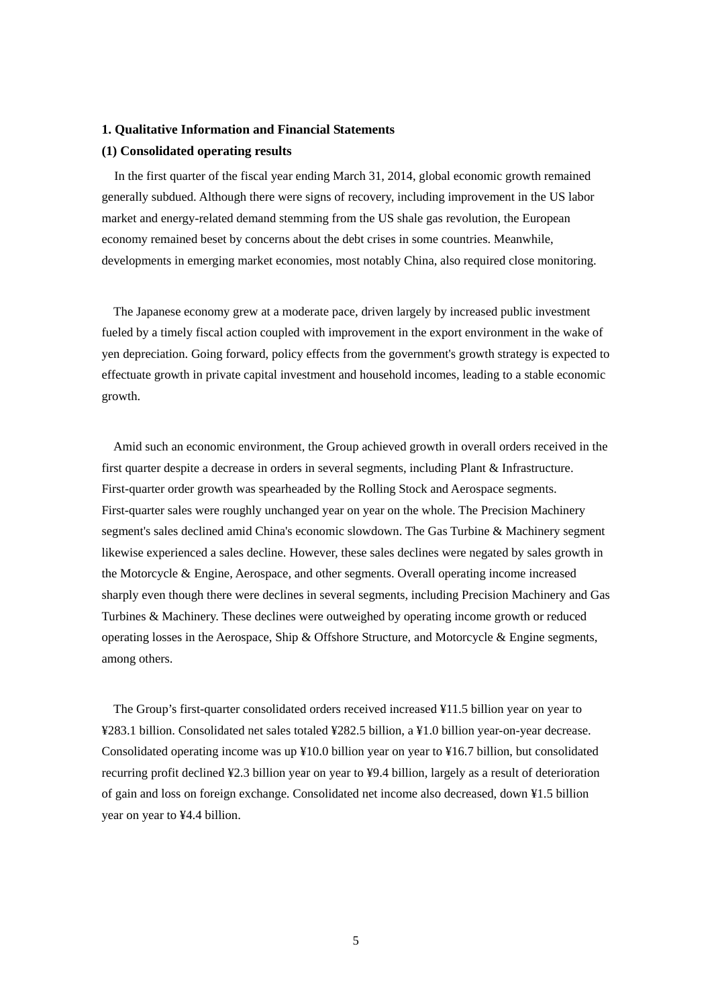#### **1. Qualitative Information and Financial Statements**

#### **(1) Consolidated operating results**

In the first quarter of the fiscal year ending March 31, 2014, global economic growth remained generally subdued. Although there were signs of recovery, including improvement in the US labor market and energy-related demand stemming from the US shale gas revolution, the European economy remained beset by concerns about the debt crises in some countries. Meanwhile, developments in emerging market economies, most notably China, also required close monitoring.

The Japanese economy grew at a moderate pace, driven largely by increased public investment fueled by a timely fiscal action coupled with improvement in the export environment in the wake of yen depreciation. Going forward, policy effects from the government's growth strategy is expected to effectuate growth in private capital investment and household incomes, leading to a stable economic growth.

Amid such an economic environment, the Group achieved growth in overall orders received in the first quarter despite a decrease in orders in several segments, including Plant & Infrastructure. First-quarter order growth was spearheaded by the Rolling Stock and Aerospace segments. First-quarter sales were roughly unchanged year on year on the whole. The Precision Machinery segment's sales declined amid China's economic slowdown. The Gas Turbine & Machinery segment likewise experienced a sales decline. However, these sales declines were negated by sales growth in the Motorcycle & Engine, Aerospace, and other segments. Overall operating income increased sharply even though there were declines in several segments, including Precision Machinery and Gas Turbines & Machinery. These declines were outweighed by operating income growth or reduced operating losses in the Aerospace, Ship & Offshore Structure, and Motorcycle & Engine segments, among others.

The Group's first-quarter consolidated orders received increased ¥11.5 billion year on year to ¥283.1 billion. Consolidated net sales totaled ¥282.5 billion, a ¥1.0 billion year-on-year decrease. Consolidated operating income was up ¥10.0 billion year on year to ¥16.7 billion, but consolidated recurring profit declined ¥2.3 billion year on year to ¥9.4 billion, largely as a result of deterioration of gain and loss on foreign exchange. Consolidated net income also decreased, down ¥1.5 billion year on year to ¥4.4 billion.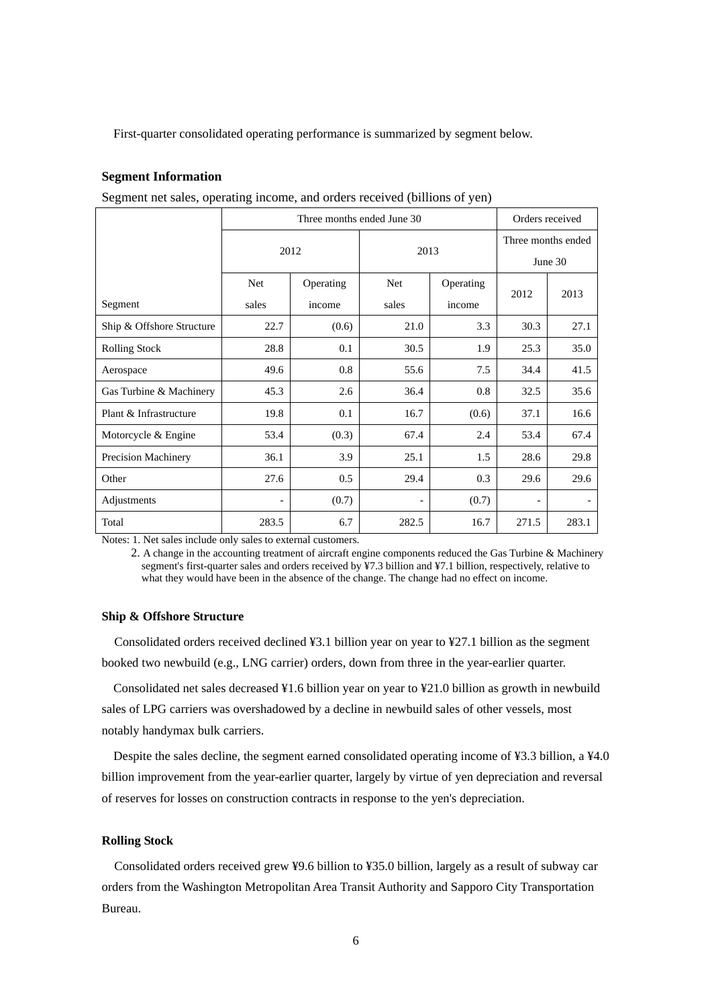First-quarter consolidated operating performance is summarized by segment below.

## **Segment Information**

Segment net sales, operating income, and orders received (billions of yen)

|                           |            | Orders received |                          |           |       |                               |  |
|---------------------------|------------|-----------------|--------------------------|-----------|-------|-------------------------------|--|
|                           | 2012       |                 |                          | 2013      |       | Three months ended<br>June 30 |  |
|                           | <b>Net</b> | Operating       | <b>Net</b>               | Operating |       |                               |  |
| Segment                   | sales      | income          | sales                    | income    | 2012  | 2013                          |  |
| Ship & Offshore Structure | 22.7       | (0.6)           | 21.0                     | 3.3       | 30.3  | 27.1                          |  |
| <b>Rolling Stock</b>      | 28.8       | 0.1             | 30.5                     | 1.9       | 25.3  | 35.0                          |  |
| Aerospace                 | 49.6       | 0.8             | 55.6                     | 7.5       | 34.4  | 41.5                          |  |
| Gas Turbine & Machinery   | 45.3       | 2.6             | 36.4                     | 0.8       | 32.5  | 35.6                          |  |
| Plant & Infrastructure    | 19.8       | 0.1             | 16.7                     | (0.6)     | 37.1  | 16.6                          |  |
| Motorcycle & Engine       | 53.4       | (0.3)           | 67.4                     | 2.4       | 53.4  | 67.4                          |  |
| Precision Machinery       | 36.1       | 3.9             | 25.1                     | 1.5       | 28.6  | 29.8                          |  |
| Other                     | 27.6       | 0.5             | 29.4                     | 0.3       | 29.6  | 29.6                          |  |
| Adjustments               |            | (0.7)           | $\overline{\phantom{a}}$ | (0.7)     |       |                               |  |
| Total                     | 283.5      | 6.7             | 282.5                    | 16.7      | 271.5 | 283.1                         |  |

Notes: 1. Net sales include only sales to external customers.

2. A change in the accounting treatment of aircraft engine components reduced the Gas Turbine & Machinery segment's first-quarter sales and orders received by ¥7.3 billion and ¥7.1 billion, respectively, relative to what they would have been in the absence of the change. The change had no effect on income.

#### **Ship & Offshore Structure**

Consolidated orders received declined ¥3.1 billion year on year to ¥27.1 billion as the segment booked two newbuild (e.g., LNG carrier) orders, down from three in the year-earlier quarter.

Consolidated net sales decreased ¥1.6 billion year on year to ¥21.0 billion as growth in newbuild sales of LPG carriers was overshadowed by a decline in newbuild sales of other vessels, most notably handymax bulk carriers.

Despite the sales decline, the segment earned consolidated operating income of ¥3.3 billion, a ¥4.0 billion improvement from the year-earlier quarter, largely by virtue of yen depreciation and reversal of reserves for losses on construction contracts in response to the yen's depreciation.

#### **Rolling Stock**

Consolidated orders received grew ¥9.6 billion to ¥35.0 billion, largely as a result of subway car orders from the Washington Metropolitan Area Transit Authority and Sapporo City Transportation Bureau.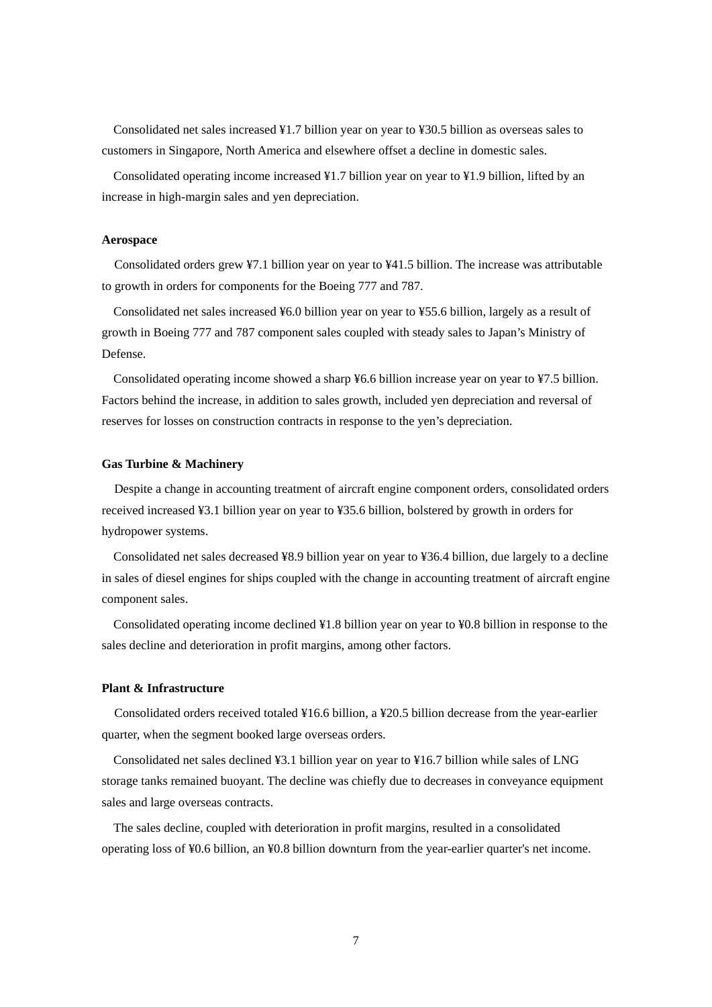Consolidated net sales increased ¥1.7 billion year on year to ¥30.5 billion as overseas sales to customers in Singapore, North America and elsewhere offset a decline in domestic sales.

Consolidated operating income increased ¥1.7 billion year on year to ¥1.9 billion, lifted by an increase in high-margin sales and yen depreciation.

#### **Aerospace**

Consolidated orders grew ¥7.1 billion year on year to ¥41.5 billion. The increase was attributable to growth in orders for components for the Boeing 777 and 787.

Consolidated net sales increased ¥6.0 billion year on year to ¥55.6 billion, largely as a result of growth in Boeing 777 and 787 component sales coupled with steady sales to Japan's Ministry of Defense.

Consolidated operating income showed a sharp ¥6.6 billion increase year on year to ¥7.5 billion. Factors behind the increase, in addition to sales growth, included yen depreciation and reversal of reserves for losses on construction contracts in response to the yen's depreciation.

#### **Gas Turbine & Machinery**

Despite a change in accounting treatment of aircraft engine component orders, consolidated orders received increased ¥3.1 billion year on year to ¥35.6 billion, bolstered by growth in orders for hydropower systems.

Consolidated net sales decreased ¥8.9 billion year on year to ¥36.4 billion, due largely to a decline in sales of diesel engines for ships coupled with the change in accounting treatment of aircraft engine component sales.

Consolidated operating income declined ¥1.8 billion year on year to ¥0.8 billion in response to the sales decline and deterioration in profit margins, among other factors.

#### **Plant & Infrastructure**

Consolidated orders received totaled ¥16.6 billion, a ¥20.5 billion decrease from the year-earlier quarter, when the segment booked large overseas orders.

Consolidated net sales declined ¥3.1 billion year on year to ¥16.7 billion while sales of LNG storage tanks remained buoyant. The decline was chiefly due to decreases in conveyance equipment sales and large overseas contracts.

The sales decline, coupled with deterioration in profit margins, resulted in a consolidated operating loss of ¥0.6 billion, an ¥0.8 billion downturn from the year-earlier quarter's net income.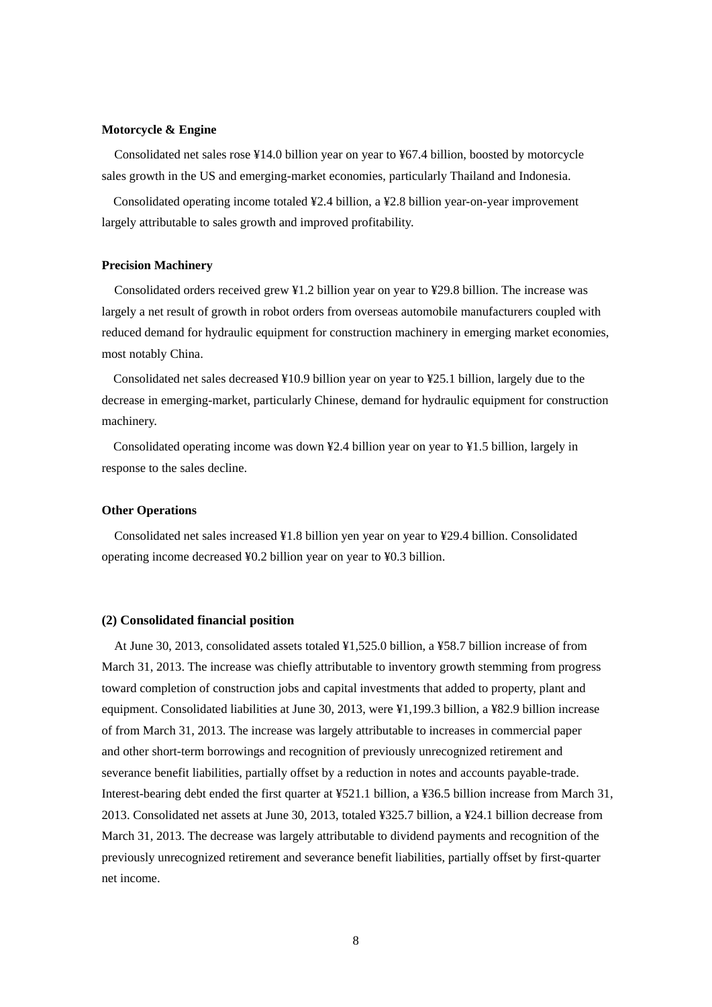#### **Motorcycle & Engine**

Consolidated net sales rose ¥14.0 billion year on year to ¥67.4 billion, boosted by motorcycle sales growth in the US and emerging-market economies, particularly Thailand and Indonesia.

Consolidated operating income totaled ¥2.4 billion, a ¥2.8 billion year-on-year improvement largely attributable to sales growth and improved profitability.

#### **Precision Machinery**

Consolidated orders received grew ¥1.2 billion year on year to ¥29.8 billion. The increase was largely a net result of growth in robot orders from overseas automobile manufacturers coupled with reduced demand for hydraulic equipment for construction machinery in emerging market economies, most notably China.

Consolidated net sales decreased ¥10.9 billion year on year to ¥25.1 billion, largely due to the decrease in emerging-market, particularly Chinese, demand for hydraulic equipment for construction machinery.

Consolidated operating income was down ¥2.4 billion year on year to ¥1.5 billion, largely in response to the sales decline.

### **Other Operations**

Consolidated net sales increased ¥1.8 billion yen year on year to ¥29.4 billion. Consolidated operating income decreased ¥0.2 billion year on year to ¥0.3 billion.

### **(2) Consolidated financial position**

At June 30, 2013, consolidated assets totaled ¥1,525.0 billion, a ¥58.7 billion increase of from March 31, 2013. The increase was chiefly attributable to inventory growth stemming from progress toward completion of construction jobs and capital investments that added to property, plant and equipment. Consolidated liabilities at June 30, 2013, were ¥1,199.3 billion, a ¥82.9 billion increase of from March 31, 2013. The increase was largely attributable to increases in commercial paper and other short-term borrowings and recognition of previously unrecognized retirement and severance benefit liabilities, partially offset by a reduction in notes and accounts payable-trade. Interest-bearing debt ended the first quarter at ¥521.1 billion, a ¥36.5 billion increase from March 31, 2013. Consolidated net assets at June 30, 2013, totaled ¥325.7 billion, a ¥24.1 billion decrease from March 31, 2013. The decrease was largely attributable to dividend payments and recognition of the previously unrecognized retirement and severance benefit liabilities, partially offset by first-quarter net income.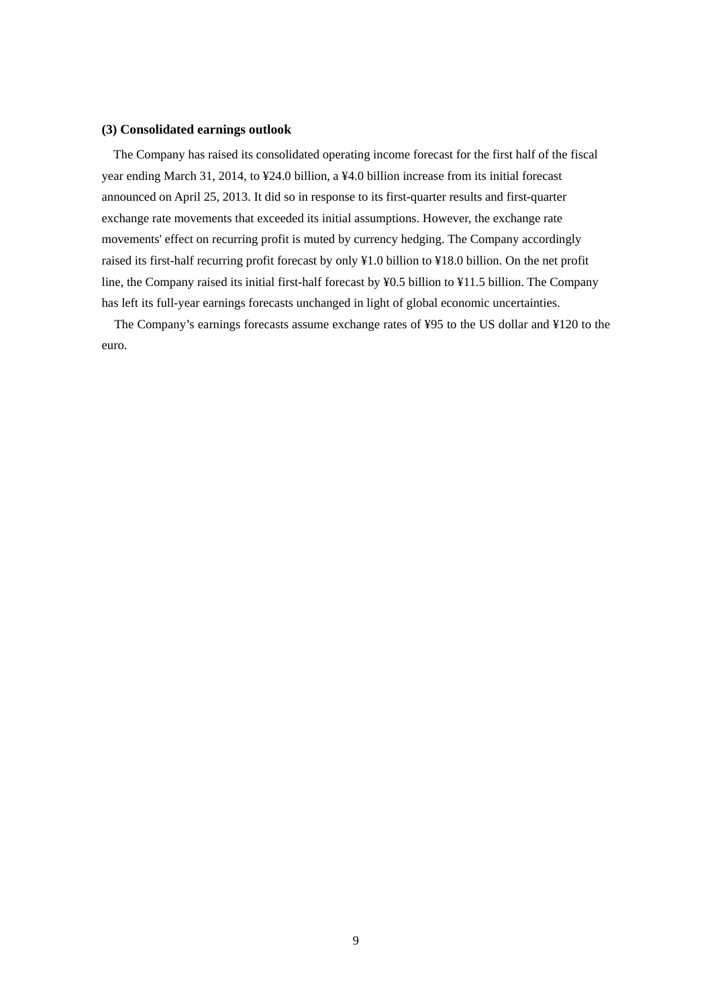#### **(3) Consolidated earnings outlook**

The Company has raised its consolidated operating income forecast for the first half of the fiscal year ending March 31, 2014, to ¥24.0 billion, a ¥4.0 billion increase from its initial forecast announced on April 25, 2013. It did so in response to its first-quarter results and first-quarter exchange rate movements that exceeded its initial assumptions. However, the exchange rate movements' effect on recurring profit is muted by currency hedging. The Company accordingly raised its first-half recurring profit forecast by only ¥1.0 billion to ¥18.0 billion. On the net profit line, the Company raised its initial first-half forecast by ¥0.5 billion to ¥11.5 billion. The Company has left its full-year earnings forecasts unchanged in light of global economic uncertainties.

The Company's earnings forecasts assume exchange rates of ¥95 to the US dollar and ¥120 to the euro.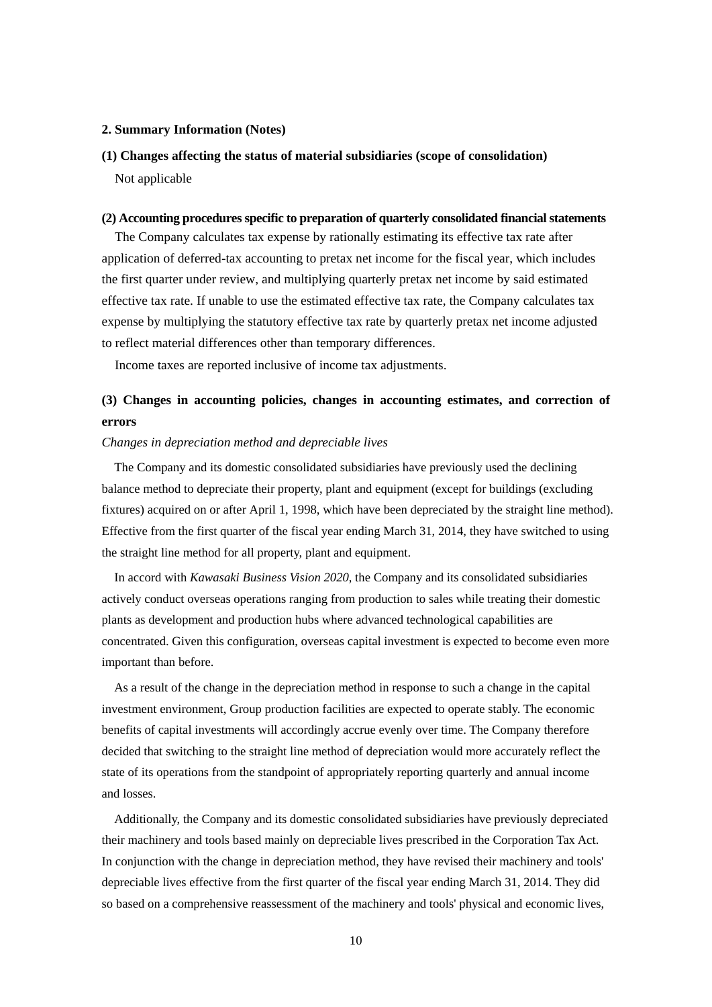#### **2. Summary Information (Notes)**

# **(1) Changes affecting the status of material subsidiaries (scope of consolidation)**  Not applicable

### **(2) Accounting procedures specific to preparation of quarterly consolidated financial statements**

The Company calculates tax expense by rationally estimating its effective tax rate after application of deferred-tax accounting to pretax net income for the fiscal year, which includes the first quarter under review, and multiplying quarterly pretax net income by said estimated effective tax rate. If unable to use the estimated effective tax rate, the Company calculates tax expense by multiplying the statutory effective tax rate by quarterly pretax net income adjusted to reflect material differences other than temporary differences.

Income taxes are reported inclusive of income tax adjustments.

# **(3) Changes in accounting policies, changes in accounting estimates, and correction of errors**

#### *Changes in depreciation method and depreciable lives*

The Company and its domestic consolidated subsidiaries have previously used the declining balance method to depreciate their property, plant and equipment (except for buildings (excluding fixtures) acquired on or after April 1, 1998, which have been depreciated by the straight line method). Effective from the first quarter of the fiscal year ending March 31, 2014, they have switched to using the straight line method for all property, plant and equipment.

In accord with *Kawasaki Business Vision 2020*, the Company and its consolidated subsidiaries actively conduct overseas operations ranging from production to sales while treating their domestic plants as development and production hubs where advanced technological capabilities are concentrated. Given this configuration, overseas capital investment is expected to become even more important than before.

As a result of the change in the depreciation method in response to such a change in the capital investment environment, Group production facilities are expected to operate stably. The economic benefits of capital investments will accordingly accrue evenly over time. The Company therefore decided that switching to the straight line method of depreciation would more accurately reflect the state of its operations from the standpoint of appropriately reporting quarterly and annual income and losses.

Additionally, the Company and its domestic consolidated subsidiaries have previously depreciated their machinery and tools based mainly on depreciable lives prescribed in the Corporation Tax Act. In conjunction with the change in depreciation method, they have revised their machinery and tools' depreciable lives effective from the first quarter of the fiscal year ending March 31, 2014. They did so based on a comprehensive reassessment of the machinery and tools' physical and economic lives,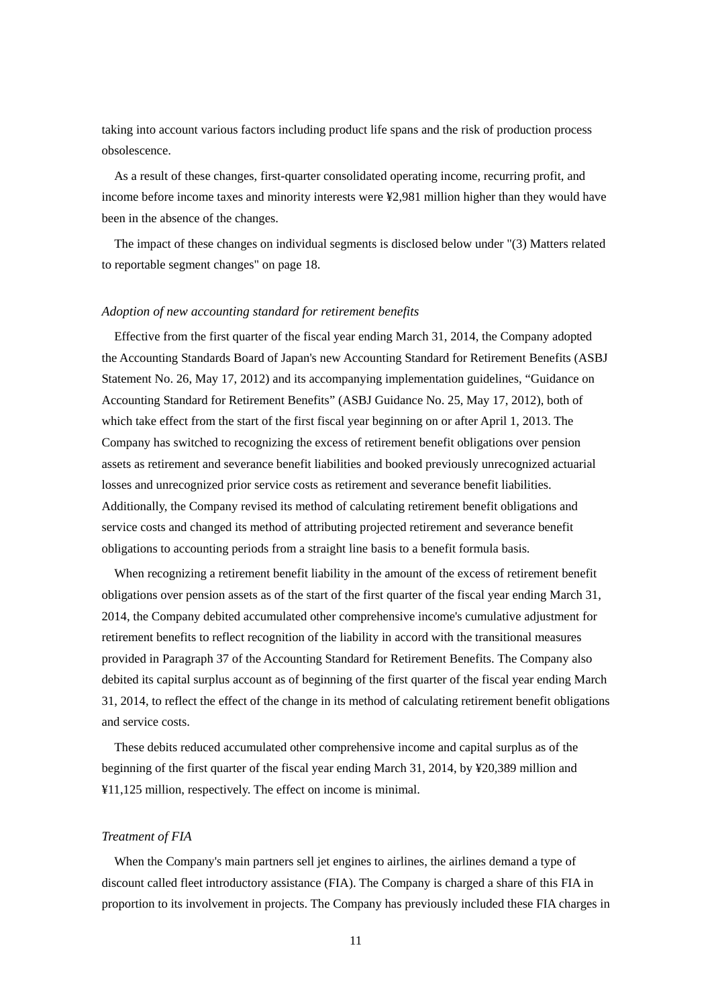taking into account various factors including product life spans and the risk of production process obsolescence.

As a result of these changes, first-quarter consolidated operating income, recurring profit, and income before income taxes and minority interests were ¥2,981 million higher than they would have been in the absence of the changes.

The impact of these changes on individual segments is disclosed below under "(3) Matters related to reportable segment changes" on page 18.

#### *Adoption of new accounting standard for retirement benefits*

Effective from the first quarter of the fiscal year ending March 31, 2014, the Company adopted the Accounting Standards Board of Japan's new Accounting Standard for Retirement Benefits (ASBJ Statement No. 26, May 17, 2012) and its accompanying implementation guidelines, "Guidance on Accounting Standard for Retirement Benefits" (ASBJ Guidance No. 25, May 17, 2012), both of which take effect from the start of the first fiscal year beginning on or after April 1, 2013. The Company has switched to recognizing the excess of retirement benefit obligations over pension assets as retirement and severance benefit liabilities and booked previously unrecognized actuarial losses and unrecognized prior service costs as retirement and severance benefit liabilities. Additionally, the Company revised its method of calculating retirement benefit obligations and service costs and changed its method of attributing projected retirement and severance benefit obligations to accounting periods from a straight line basis to a benefit formula basis.

When recognizing a retirement benefit liability in the amount of the excess of retirement benefit obligations over pension assets as of the start of the first quarter of the fiscal year ending March 31, 2014, the Company debited accumulated other comprehensive income's cumulative adjustment for retirement benefits to reflect recognition of the liability in accord with the transitional measures provided in Paragraph 37 of the Accounting Standard for Retirement Benefits. The Company also debited its capital surplus account as of beginning of the first quarter of the fiscal year ending March 31, 2014, to reflect the effect of the change in its method of calculating retirement benefit obligations and service costs.

These debits reduced accumulated other comprehensive income and capital surplus as of the beginning of the first quarter of the fiscal year ending March 31, 2014, by ¥20,389 million and ¥11,125 million, respectively. The effect on income is minimal.

#### *Treatment of FIA*

When the Company's main partners sell jet engines to airlines, the airlines demand a type of discount called fleet introductory assistance (FIA). The Company is charged a share of this FIA in proportion to its involvement in projects. The Company has previously included these FIA charges in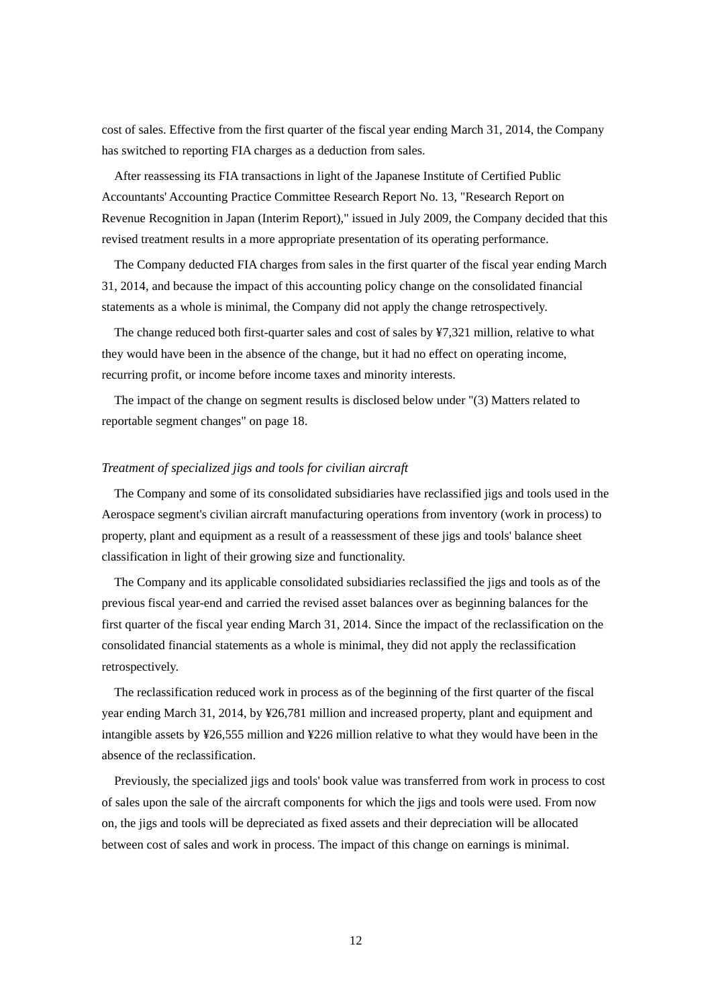cost of sales. Effective from the first quarter of the fiscal year ending March 31, 2014, the Company has switched to reporting FIA charges as a deduction from sales.

After reassessing its FIA transactions in light of the Japanese Institute of Certified Public Accountants' Accounting Practice Committee Research Report No. 13, "Research Report on Revenue Recognition in Japan (Interim Report)," issued in July 2009, the Company decided that this revised treatment results in a more appropriate presentation of its operating performance.

The Company deducted FIA charges from sales in the first quarter of the fiscal year ending March 31, 2014, and because the impact of this accounting policy change on the consolidated financial statements as a whole is minimal, the Company did not apply the change retrospectively.

The change reduced both first-quarter sales and cost of sales by ¥7,321 million, relative to what they would have been in the absence of the change, but it had no effect on operating income, recurring profit, or income before income taxes and minority interests.

The impact of the change on segment results is disclosed below under "(3) Matters related to reportable segment changes" on page 18.

### *Treatment of specialized jigs and tools for civilian aircraft*

The Company and some of its consolidated subsidiaries have reclassified jigs and tools used in the Aerospace segment's civilian aircraft manufacturing operations from inventory (work in process) to property, plant and equipment as a result of a reassessment of these jigs and tools' balance sheet classification in light of their growing size and functionality.

The Company and its applicable consolidated subsidiaries reclassified the jigs and tools as of the previous fiscal year-end and carried the revised asset balances over as beginning balances for the first quarter of the fiscal year ending March 31, 2014. Since the impact of the reclassification on the consolidated financial statements as a whole is minimal, they did not apply the reclassification retrospectively.

The reclassification reduced work in process as of the beginning of the first quarter of the fiscal year ending March 31, 2014, by ¥26,781 million and increased property, plant and equipment and intangible assets by ¥26,555 million and ¥226 million relative to what they would have been in the absence of the reclassification.

Previously, the specialized jigs and tools' book value was transferred from work in process to cost of sales upon the sale of the aircraft components for which the jigs and tools were used. From now on, the jigs and tools will be depreciated as fixed assets and their depreciation will be allocated between cost of sales and work in process. The impact of this change on earnings is minimal.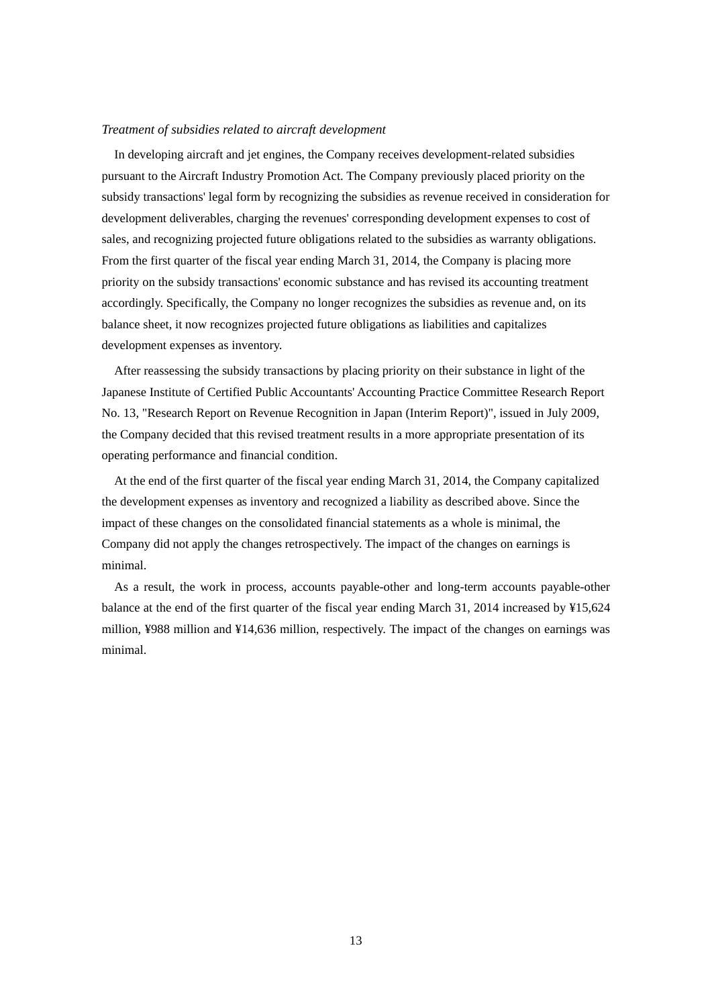### *Treatment of subsidies related to aircraft development*

In developing aircraft and jet engines, the Company receives development-related subsidies pursuant to the Aircraft Industry Promotion Act. The Company previously placed priority on the subsidy transactions' legal form by recognizing the subsidies as revenue received in consideration for development deliverables, charging the revenues' corresponding development expenses to cost of sales, and recognizing projected future obligations related to the subsidies as warranty obligations. From the first quarter of the fiscal year ending March 31, 2014, the Company is placing more priority on the subsidy transactions' economic substance and has revised its accounting treatment accordingly. Specifically, the Company no longer recognizes the subsidies as revenue and, on its balance sheet, it now recognizes projected future obligations as liabilities and capitalizes development expenses as inventory.

After reassessing the subsidy transactions by placing priority on their substance in light of the Japanese Institute of Certified Public Accountants' Accounting Practice Committee Research Report No. 13, "Research Report on Revenue Recognition in Japan (Interim Report)", issued in July 2009, the Company decided that this revised treatment results in a more appropriate presentation of its operating performance and financial condition.

At the end of the first quarter of the fiscal year ending March 31, 2014, the Company capitalized the development expenses as inventory and recognized a liability as described above. Since the impact of these changes on the consolidated financial statements as a whole is minimal, the Company did not apply the changes retrospectively. The impact of the changes on earnings is minimal.

As a result, the work in process, accounts payable-other and long-term accounts payable-other balance at the end of the first quarter of the fiscal year ending March 31, 2014 increased by ¥15,624 million, ¥988 million and ¥14,636 million, respectively. The impact of the changes on earnings was minimal.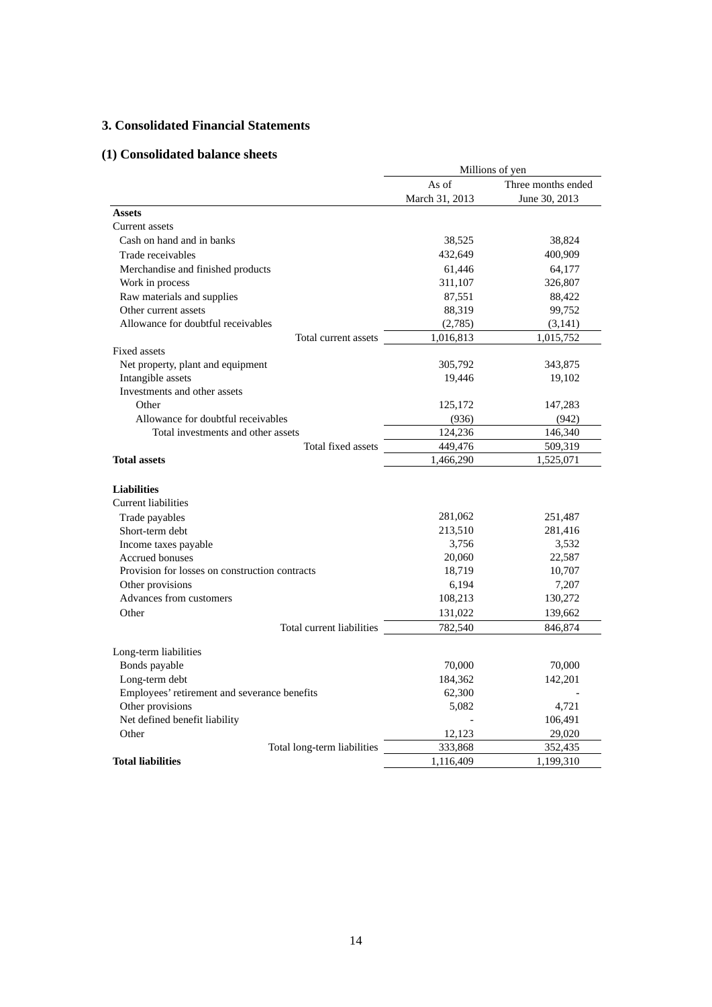## **3. Consolidated Financial Statements**

# **(1) Consolidated balance sheets**

|                                                | Millions of yen |                    |  |  |
|------------------------------------------------|-----------------|--------------------|--|--|
|                                                | As of           | Three months ended |  |  |
|                                                | March 31, 2013  | June 30, 2013      |  |  |
| <b>Assets</b>                                  |                 |                    |  |  |
| Current assets                                 |                 |                    |  |  |
| Cash on hand and in banks                      | 38,525          | 38,824             |  |  |
| Trade receivables                              | 432,649         | 400,909            |  |  |
| Merchandise and finished products              | 61,446          | 64,177             |  |  |
| Work in process                                | 311,107         | 326,807            |  |  |
| Raw materials and supplies                     | 87,551          | 88,422             |  |  |
| Other current assets                           | 88,319          | 99,752             |  |  |
| Allowance for doubtful receivables             | (2,785)         | (3, 141)           |  |  |
| Total current assets                           | 1,016,813       | 1,015,752          |  |  |
| <b>Fixed assets</b>                            |                 |                    |  |  |
| Net property, plant and equipment              | 305,792         | 343,875            |  |  |
| Intangible assets                              | 19,446          | 19,102             |  |  |
| Investments and other assets                   |                 |                    |  |  |
| Other                                          | 125,172         | 147,283            |  |  |
| Allowance for doubtful receivables             | (936)           | (942)              |  |  |
| Total investments and other assets             | 124,236         | 146,340            |  |  |
| Total fixed assets                             | 449,476         | 509,319            |  |  |
| <b>Total assets</b>                            | 1,466,290       | 1,525,071          |  |  |
| <b>Liabilities</b>                             |                 |                    |  |  |
| <b>Current liabilities</b>                     |                 |                    |  |  |
| Trade payables                                 | 281,062         | 251,487            |  |  |
| Short-term debt                                | 213,510         | 281,416            |  |  |
| Income taxes payable                           | 3,756           | 3,532              |  |  |
| Accrued bonuses                                | 20,060          | 22,587             |  |  |
| Provision for losses on construction contracts | 18,719          | 10,707             |  |  |
| Other provisions                               | 6,194           | 7,207              |  |  |
| Advances from customers                        | 108,213         | 130,272            |  |  |
| Other                                          | 131,022         | 139,662            |  |  |
| Total current liabilities                      | 782,540         | 846,874            |  |  |
| Long-term liabilities                          |                 |                    |  |  |
| Bonds payable                                  | 70,000          | 70,000             |  |  |
| Long-term debt                                 | 184,362         | 142,201            |  |  |
| Employees' retirement and severance benefits   | 62,300          |                    |  |  |
| Other provisions                               | 5,082           | 4,721              |  |  |
| Net defined benefit liability                  |                 | 106,491            |  |  |
| Other                                          | 12,123          | 29,020             |  |  |
| Total long-term liabilities                    | 333,868         | 352,435            |  |  |
| <b>Total liabilities</b>                       | 1,116,409       | 1,199,310          |  |  |
|                                                |                 |                    |  |  |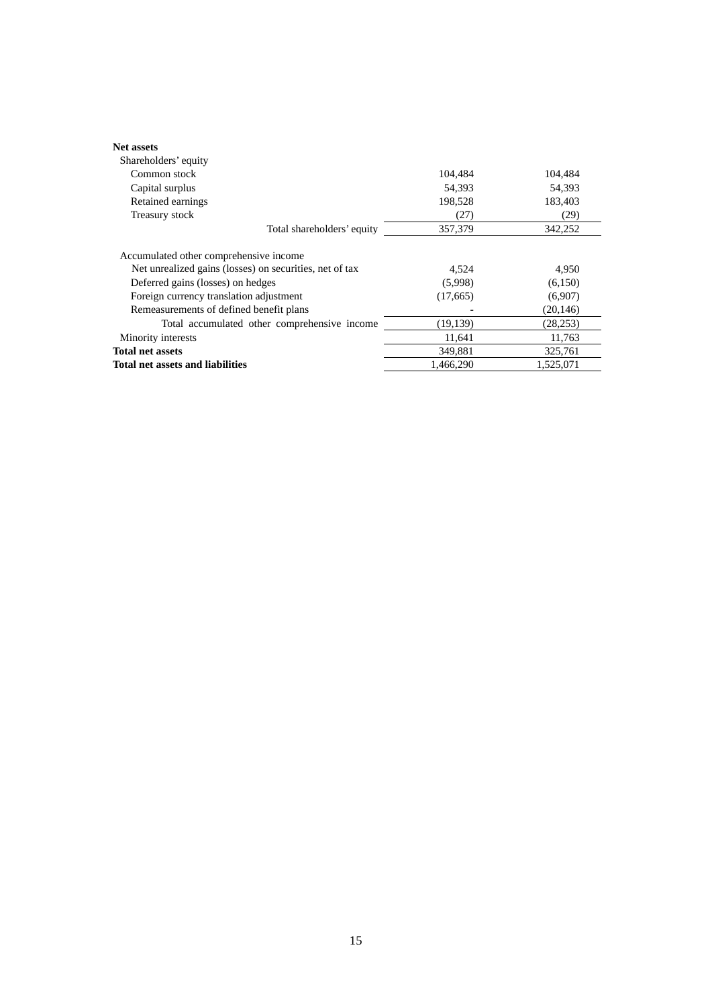| <b>Net assets</b>                                       |           |           |
|---------------------------------------------------------|-----------|-----------|
| Shareholders' equity                                    |           |           |
| Common stock                                            | 104,484   | 104,484   |
| Capital surplus                                         | 54.393    | 54.393    |
| Retained earnings                                       | 198,528   | 183,403   |
| Treasury stock                                          | (27)      | (29)      |
| Total shareholders' equity                              | 357,379   | 342,252   |
| Accumulated other comprehensive income                  |           |           |
| Net unrealized gains (losses) on securities, net of tax | 4,524     | 4,950     |
| Deferred gains (losses) on hedges                       | (5,998)   | (6,150)   |
| Foreign currency translation adjustment                 | (17,665)  | (6,907)   |
| Remeasurements of defined benefit plans                 |           | (20, 146) |
| Total accumulated other comprehensive income            | (19, 139) | (28, 253) |
| Minority interests                                      | 11,641    | 11,763    |
| <b>Total net assets</b>                                 | 349,881   | 325,761   |
| <b>Total net assets and liabilities</b>                 | 1,466,290 | 1,525,071 |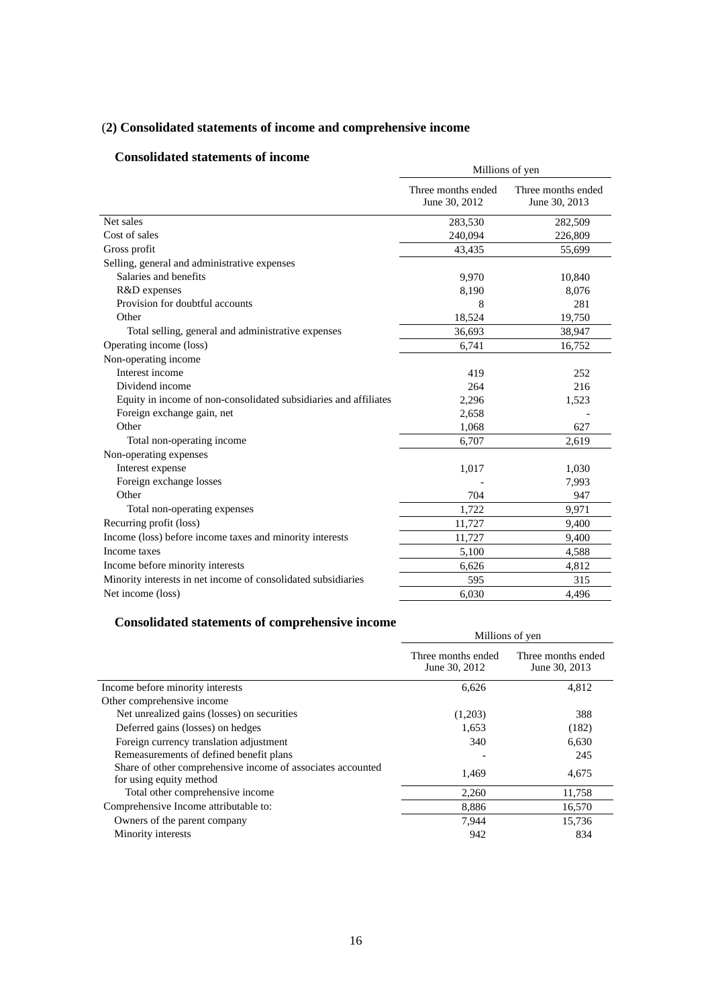# (**2) Consolidated statements of income and comprehensive income**

## **Consolidated statements of income**

|                                                                  | Millions of yen                     |                                     |
|------------------------------------------------------------------|-------------------------------------|-------------------------------------|
|                                                                  | Three months ended<br>June 30, 2012 | Three months ended<br>June 30, 2013 |
| Net sales                                                        | 283,530                             | 282,509                             |
| Cost of sales                                                    | 240,094                             | 226,809                             |
| Gross profit                                                     | 43,435                              | 55,699                              |
| Selling, general and administrative expenses                     |                                     |                                     |
| Salaries and benefits                                            | 9,970                               | 10,840                              |
| R&D expenses                                                     | 8,190                               | 8,076                               |
| Provision for doubtful accounts                                  | 8                                   | 281                                 |
| Other                                                            | 18,524                              | 19,750                              |
| Total selling, general and administrative expenses               | 36,693                              | 38,947                              |
| Operating income (loss)                                          | 6.741                               | 16,752                              |
| Non-operating income                                             |                                     |                                     |
| Interest income                                                  | 419                                 | 252                                 |
| Dividend income                                                  | 264                                 | 216                                 |
| Equity in income of non-consolidated subsidiaries and affiliates | 2,296                               | 1,523                               |
| Foreign exchange gain, net                                       | 2,658                               |                                     |
| Other                                                            | 1,068                               | 627                                 |
| Total non-operating income                                       | 6,707                               | 2,619                               |
| Non-operating expenses                                           |                                     |                                     |
| Interest expense                                                 | 1,017                               | 1,030                               |
| Foreign exchange losses                                          |                                     | 7,993                               |
| Other                                                            | 704                                 | 947                                 |
| Total non-operating expenses                                     | 1,722                               | 9,971                               |
| Recurring profit (loss)                                          | 11,727                              | 9,400                               |
| Income (loss) before income taxes and minority interests         | 11,727                              | 9,400                               |
| Income taxes                                                     | 5,100                               | 4,588                               |
| Income before minority interests                                 | 6,626                               | 4,812                               |
| Minority interests in net income of consolidated subsidiaries    | 595                                 | 315                                 |
| Net income (loss)                                                | 6,030                               | 4,496                               |

## **Consolidated statements of comprehensive income**

| Consonuated statements of comprenensive income                                         | Millions of yen                     |                                     |  |
|----------------------------------------------------------------------------------------|-------------------------------------|-------------------------------------|--|
|                                                                                        | Three months ended<br>June 30, 2012 | Three months ended<br>June 30, 2013 |  |
| Income before minority interests                                                       | 6,626                               | 4,812                               |  |
| Other comprehensive income                                                             |                                     |                                     |  |
| Net unrealized gains (losses) on securities                                            | (1,203)                             | 388                                 |  |
| Deferred gains (losses) on hedges                                                      | 1,653                               | (182)                               |  |
| Foreign currency translation adjustment                                                | 340                                 | 6,630                               |  |
| Remeasurements of defined benefit plans                                                |                                     | 245                                 |  |
| Share of other comprehensive income of associates accounted<br>for using equity method | 1,469                               | 4,675                               |  |
| Total other comprehensive income                                                       | 2,260                               | 11,758                              |  |
| Comprehensive Income attributable to:                                                  | 8,886                               | 16,570                              |  |
| Owners of the parent company                                                           | 7,944                               | 15.736                              |  |
| Minority interests                                                                     | 942                                 | 834                                 |  |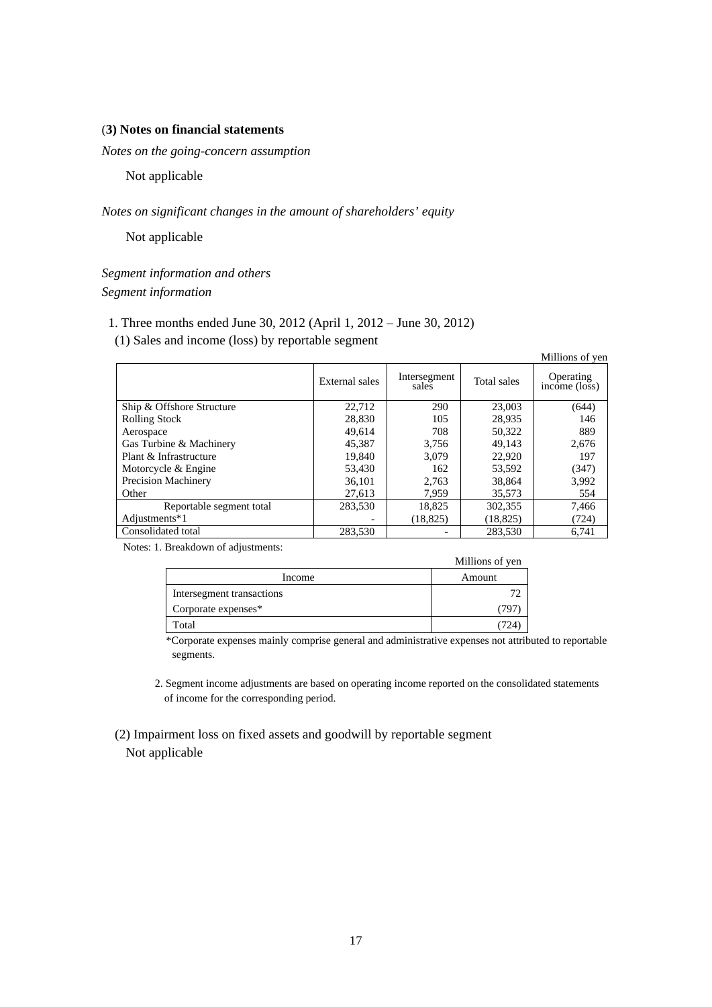### (**3) Notes on financial statements**

*Notes on the going-concern assumption* 

Not applicable

## *Notes on significant changes in the amount of shareholders' equity*

Not applicable

*Segment information and others Segment information* 

## 1. Three months ended June 30, 2012 (April 1, 2012 – June 30, 2012)

(1) Sales and income (loss) by reportable segment

|                           |                |                       |             | Millions of yen                       |
|---------------------------|----------------|-----------------------|-------------|---------------------------------------|
|                           | External sales | Intersegment<br>sales | Total sales | Operating<br>$inc\overline{o}$ (loss) |
| Ship & Offshore Structure | 22,712         | 290                   | 23,003      | (644)                                 |
| <b>Rolling Stock</b>      | 28,830         | 105                   | 28,935      | 146                                   |
| Aerospace                 | 49,614         | 708                   | 50,322      | 889                                   |
| Gas Turbine & Machinery   | 45,387         | 3,756                 | 49,143      | 2,676                                 |
| Plant & Infrastructure    | 19.840         | 3.079                 | 22,920      | 197                                   |
| Motorcycle & Engine       | 53,430         | 162                   | 53,592      | (347)                                 |
| Precision Machinery       | 36,101         | 2.763                 | 38,864      | 3,992                                 |
| Other                     | 27,613         | 7.959                 | 35,573      | 554                                   |
| Reportable segment total  | 283,530        | 18.825                | 302,355     | 7,466                                 |
| Adjustments*1             |                | (18, 825)             | (18, 825)   | (724)                                 |
| Consolidated total        | 283.530        |                       | 283.530     | 6.741                                 |

Notes: 1. Breakdown of adjustments:

| --                        | Millions of yen |
|---------------------------|-----------------|
| Income                    | Amount          |
| Intersegment transactions |                 |
| Corporate expenses*       |                 |
| Total                     |                 |

\*Corporate expenses mainly comprise general and administrative expenses not attributed to reportable segments.

2. Segment income adjustments are based on operating income reported on the consolidated statements of income for the corresponding period.

 (2) Impairment loss on fixed assets and goodwill by reportable segment Not applicable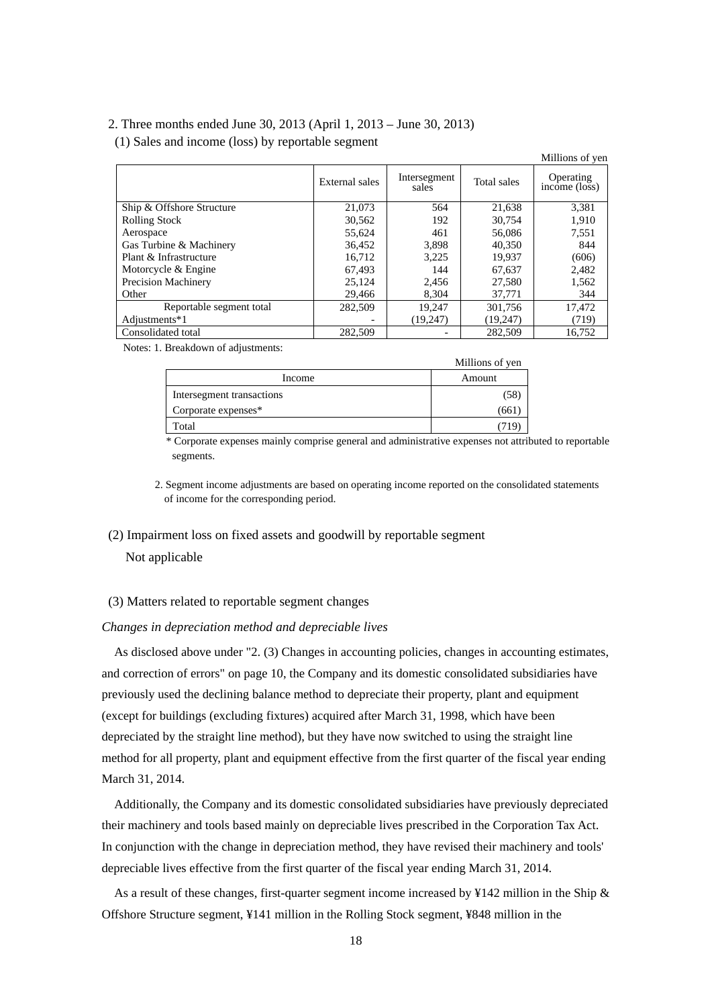## 2. Three months ended June 30, 2013 (April 1, 2013 – June 30, 2013)

(1) Sales and income (loss) by reportable segment

|                            |                |                       |             | <b>NIHIOHS</b> OF YELL                  |
|----------------------------|----------------|-----------------------|-------------|-----------------------------------------|
|                            | External sales | Intersegment<br>sales | Total sales | Operating<br>$inc\overline{ome}$ (loss) |
| Ship & Offshore Structure  | 21,073         | 564                   | 21,638      | 3,381                                   |
| <b>Rolling Stock</b>       | 30,562         | 192                   | 30,754      | 1,910                                   |
| Aerospace                  | 55.624         | 461                   | 56,086      | 7,551                                   |
| Gas Turbine & Machinery    | 36,452         | 3,898                 | 40,350      | 844                                     |
| Plant & Infrastructure     | 16,712         | 3,225                 | 19,937      | (606)                                   |
| Motorcycle & Engine        | 67.493         | 144                   | 67.637      | 2,482                                   |
| <b>Precision Machinery</b> | 25,124         | 2,456                 | 27,580      | 1,562                                   |
| Other                      | 29,466         | 8.304                 | 37,771      | 344                                     |
| Reportable segment total   | 282,509        | 19.247                | 301.756     | 17,472                                  |
| Adjustments*1              |                | (19, 247)             | (19,247)    | (719)                                   |
| Consolidated total         | 282,509        |                       | 282,509     | 16.752                                  |

 $M^{\text{III}}$   $\alpha$ 

Notes: 1. Breakdown of adjustments:

|                           | Millions of yen |
|---------------------------|-----------------|
| Income                    | Amount          |
| Intersegment transactions | . J O           |
| Corporate expenses*       | (66)            |
| Total                     |                 |

\* Corporate expenses mainly comprise general and administrative expenses not attributed to reportable segments.

2. Segment income adjustments are based on operating income reported on the consolidated statements of income for the corresponding period.

#### (2) Impairment loss on fixed assets and goodwill by reportable segment

Not applicable

### (3) Matters related to reportable segment changes

#### *Changes in depreciation method and depreciable lives*

As disclosed above under "2. (3) Changes in accounting policies, changes in accounting estimates, and correction of errors" on page 10, the Company and its domestic consolidated subsidiaries have previously used the declining balance method to depreciate their property, plant and equipment (except for buildings (excluding fixtures) acquired after March 31, 1998, which have been depreciated by the straight line method), but they have now switched to using the straight line method for all property, plant and equipment effective from the first quarter of the fiscal year ending March 31, 2014.

Additionally, the Company and its domestic consolidated subsidiaries have previously depreciated their machinery and tools based mainly on depreciable lives prescribed in the Corporation Tax Act. In conjunction with the change in depreciation method, they have revised their machinery and tools' depreciable lives effective from the first quarter of the fiscal year ending March 31, 2014.

As a result of these changes, first-quarter segment income increased by  $\frac{1}{4}142$  million in the Ship & Offshore Structure segment, ¥141 million in the Rolling Stock segment, ¥848 million in the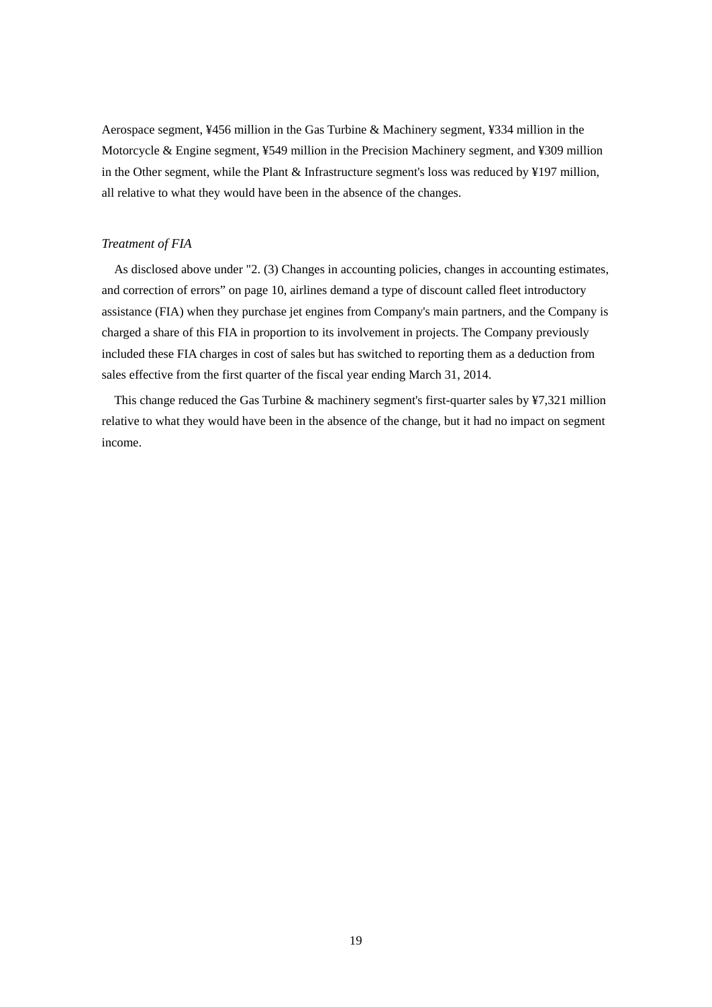Aerospace segment, ¥456 million in the Gas Turbine & Machinery segment, ¥334 million in the Motorcycle & Engine segment, ¥549 million in the Precision Machinery segment, and ¥309 million in the Other segment, while the Plant  $&$  Infrastructure segment's loss was reduced by ¥197 million, all relative to what they would have been in the absence of the changes.

## *Treatment of FIA*

As disclosed above under "2. (3) Changes in accounting policies, changes in accounting estimates, and correction of errors" on page 10, airlines demand a type of discount called fleet introductory assistance (FIA) when they purchase jet engines from Company's main partners, and the Company is charged a share of this FIA in proportion to its involvement in projects. The Company previously included these FIA charges in cost of sales but has switched to reporting them as a deduction from sales effective from the first quarter of the fiscal year ending March 31, 2014.

This change reduced the Gas Turbine  $\&$  machinery segment's first-quarter sales by ¥7,321 million relative to what they would have been in the absence of the change, but it had no impact on segment income.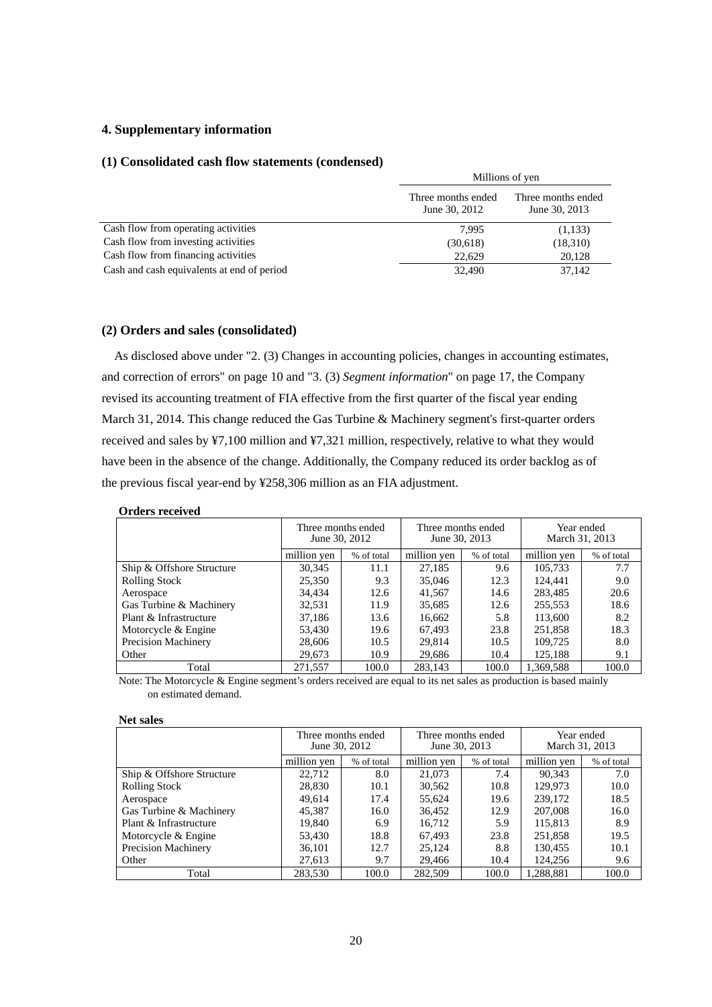### **4. Supplementary information**

#### **(1) Consolidated cash flow statements (condensed)**

|                                            | Millions of yen                     |                                     |  |
|--------------------------------------------|-------------------------------------|-------------------------------------|--|
|                                            | Three months ended<br>June 30, 2012 | Three months ended<br>June 30, 2013 |  |
| Cash flow from operating activities        | 7.995                               | (1,133)                             |  |
| Cash flow from investing activities        | (30,618)                            | (18,310)                            |  |
| Cash flow from financing activities        | 22.629                              | 20,128                              |  |
| Cash and cash equivalents at end of period | 32,490                              | 37,142                              |  |

#### **(2) Orders and sales (consolidated)**

As disclosed above under "2. (3) Changes in accounting policies, changes in accounting estimates, and correction of errors" on page 10 and "3. (3) *Segment information*" on page 17, the Company revised its accounting treatment of FIA effective from the first quarter of the fiscal year ending March 31, 2014. This change reduced the Gas Turbine & Machinery segment's first-quarter orders received and sales by ¥7,100 million and ¥7,321 million, respectively, relative to what they would have been in the absence of the change. Additionally, the Company reduced its order backlog as of the previous fiscal year-end by ¥258,306 million as an FIA adjustment.

| Orders received           |             |                                     |             |                                     |             |                              |  |
|---------------------------|-------------|-------------------------------------|-------------|-------------------------------------|-------------|------------------------------|--|
|                           |             | Three months ended<br>June 30, 2012 |             | Three months ended<br>June 30, 2013 |             | Year ended<br>March 31, 2013 |  |
|                           | million yen | % of total                          | million yen | % of total                          | million yen | % of total                   |  |
| Ship & Offshore Structure | 30,345      | 11.1                                | 27.185      | 9.6                                 | 105.733     | 7.7                          |  |
| <b>Rolling Stock</b>      | 25,350      | 9.3                                 | 35,046      | 12.3                                | 124,441     | 9.0                          |  |
| Aerospace                 | 34,434      | 12.6                                | 41,567      | 14.6                                | 283,485     | 20.6                         |  |
| Gas Turbine & Machinery   | 32.531      | 11.9                                | 35.685      | 12.6                                | 255,553     | 18.6                         |  |

#### **Orders received**

Note: The Motorcycle & Engine segment's orders received are equal to its net sales as production is based mainly on estimated demand.

Plant & Infrastructure 27,186 13.6 16,662 5.8 113,600 8.2 Motorcycle & Engine 19.6 19.6 67,493 23.8 251,858 18.3 Precision Machinery 28,606 10.5 29,814 10.5 109,725 8.0 Other 29,673 10.9 29,686 10.4 125,188 9.1

Total  $\begin{array}{|c|c|c|c|c|c|c|c|c|} \hline \end{array}$  271,557 100.0 283,143 100.0 1,369,588 100.0

|  |  | Net sales |
|--|--|-----------|
|--|--|-----------|

|                            | Three months ended<br>June 30, 2012 |            | Three months ended<br>June 30, 2013 |            | Year ended<br>March 31, 2013 |            |
|----------------------------|-------------------------------------|------------|-------------------------------------|------------|------------------------------|------------|
|                            | million ven                         | % of total | million ven                         | % of total | million ven                  | % of total |
| Ship & Offshore Structure  | 22,712                              | 8.0        | 21,073                              | 7.4        | 90.343                       | 7.0        |
| <b>Rolling Stock</b>       | 28,830                              | 10.1       | 30,562                              | 10.8       | 129,973                      | 10.0       |
| Aerospace                  | 49,614                              | 17.4       | 55,624                              | 19.6       | 239,172                      | 18.5       |
| Gas Turbine & Machinery    | 45,387                              | 16.0       | 36,452                              | 12.9       | 207,008                      | 16.0       |
| Plant & Infrastructure     | 19,840                              | 6.9        | 16,712                              | 5.9        | 115.813                      | 8.9        |
| Motorcycle & Engine        | 53,430                              | 18.8       | 67,493                              | 23.8       | 251,858                      | 19.5       |
| <b>Precision Machinery</b> | 36,101                              | 12.7       | 25,124                              | 8.8        | 130,455                      | 10.1       |
| Other                      | 27,613                              | 9.7        | 29,466                              | 10.4       | 124,256                      | 9.6        |
| Total                      | 283,530                             | 100.0      | 282,509                             | 100.0      | 1.288.881                    | 100.0      |